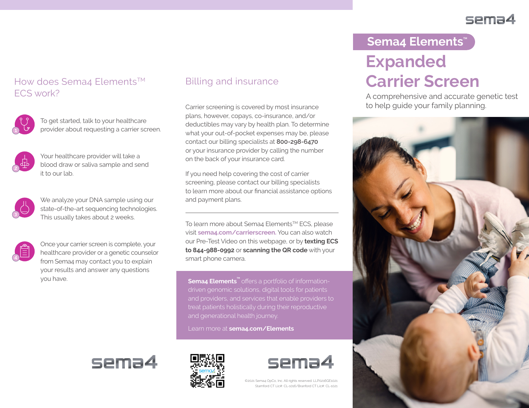## sema4

## How does Sema4 Elements<sup>™</sup> ECS work?



To get started, talk to your healthcare provider about requesting a carrier screen.



Your healthcare provider will take a blood draw or saliva sample and send it to our lab.



We analyze your DNA sample using our state-of-the-art sequencing technologies. This usually takes about 2 weeks.



Once your carrier screen is complete, your healthcare provider or a genetic counselor from Sema4 may contact you to explain your results and answer any questions you have.

### Billing and insurance

Carrier screening is covered by most insurance plans, however, copays, co-insurance, and/or deductibles may vary by health plan. To determine what your out-of-pocket expenses may be, please contact our billing specialists at **800-298-6470** or your insurance provider by calling the number on the back of your insurance card.

If you need help covering the cost of carrier screening, please contact our billing specialists to learn more about our financial assistance options and payment plans.

To learn more about Sema4 Elements™ ECS, please visit **sema4.com/carrierscreen.** You can also watch our Pre-Test Video on this webpage, or by **texting ECS to 844-988-0992** or **scanning the QR code** with your smart phone camera.

**Sema4 Elements<sup>™</sup> offers a portfolio of information**driven genomic solutions, digital tools for patients and providers, and services that enable providers to

Learn more at **sema4.com/Elements**







©2021 Sema4 OpCo, Inc. All rights reserved. LLP0216GE1021 Stamford CT Lic#: CL-1016/Branford CT Lic#: CL-1021

# **Expanded Carrier Screen** Sema4 Elements<sup>\*\*</sup>

A comprehensive and accurate genetic test to help guide your family planning.